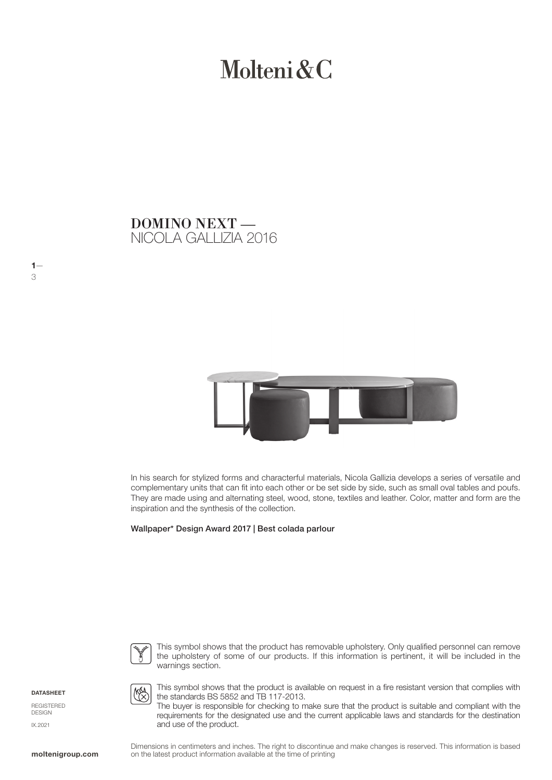# Molteni & C

## NICOLA GALLIZIA 2016 DOMINO NEXT —



In his search for stylized forms and characterful materials, Nicola Gallizia develops a series of versatile and complementary units that can fit into each other or be set side by side, such as small oval tables and poufs. They are made using and alternating steel, wood, stone, textiles and leather. Color, matter and form are the inspiration and the synthesis of the collection.

Wallpaper\* Design Award 2017 | Best colada parlour



This symbol shows that the product has removable upholstery. Only qualified personnel can remove the upholstery of some of our products. If this information is pertinent, it will be included in the warnings section.

**DATASHEET** 

 $1-$ 

3

REGISTERED DESIGN IX.2021



This symbol shows that the product is available on request in a fire resistant version that complies with the standards BS 5852 and TB 117-2013.

The buyer is responsible for checking to make sure that the product is suitable and compliant with the requirements for the designated use and the current applicable laws and standards for the destination and use of the product.

Dimensions in centimeters and inches. The right to discontinue and make changes is reserved. This information is based on the latest product information available at the time of printing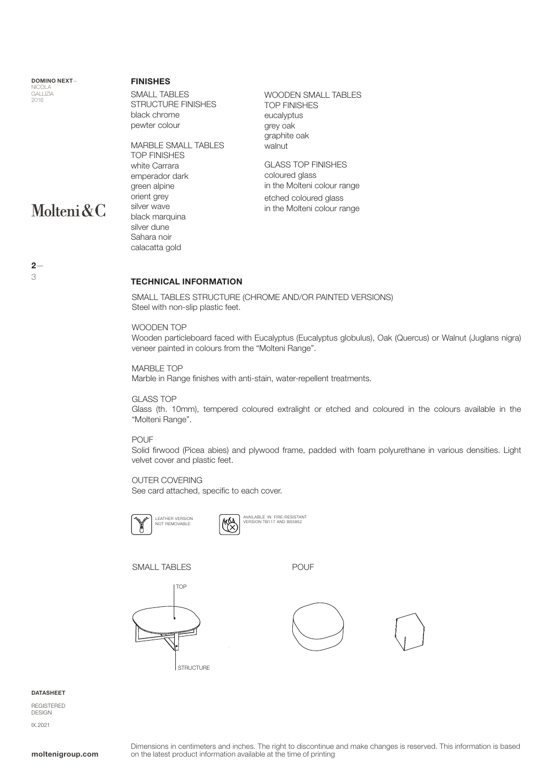DOMINO NEXT— NICOLA GALLIZIA 2016

Molteni&C

#### FINISHES

SMALL TABLES STRUCTURE FINISHES black chrome pewter colour

MARBLE SMALL TABLES TOP FINISHES white Carrara emperador dark green alpine orient grey silver wave black marquina silver dune Sahara noir

WOODEN SMALL TABLES TOP FINISHES eucalyptus grey oak graphite oak walnut

GLASS TOP FINISHES coloured glass in the Molteni colour range etched coloured glass in the Molteni colour range

 $2-$ 3

#### TECHNICAL INFORMATION

SMALL TABLES STRUCTURE (CHROME AND/OR PAINTED VERSIONS) Steel with non-slip plastic feet.

#### WOODEN TOP

calacatta gold

Wooden particleboard faced with Eucalyptus (Eucalyptus globulus), Oak (Quercus) or Walnut (Juglans nigra) veneer painted in colours from the "Molteni Range".

#### MARBLE TOP

Marble in Range finishes with anti-stain, water-repellent treatments.

#### GLASS TOP

Glass (th. 10mm), tempered coloured extralight or etched and coloured in the colours available in the "Molteni Range".

#### POUF

Solid firwood (Picea abies) and plywood frame, padded with foam polyurethane in various densities. Light velvet cover and plastic feet.

#### OUTER COVERING

See card attached, specific to each cover.





SMALL TABLES POUF







#### **DATASHEET**

REGISTERED DESIGN IX.2021